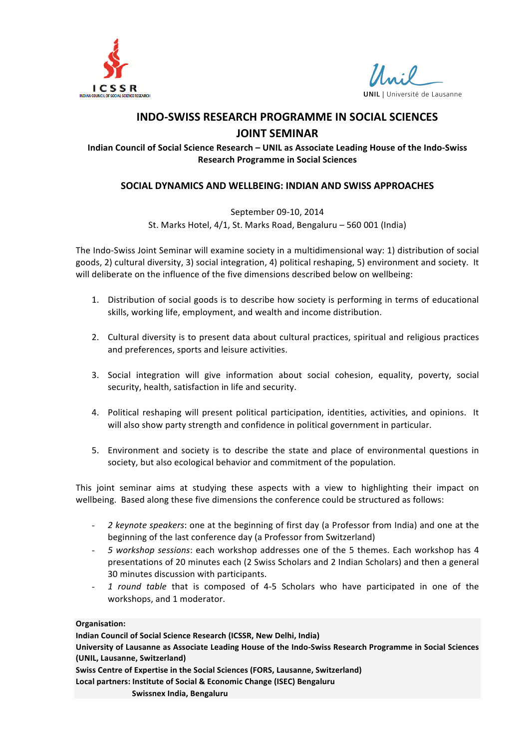



## **INDO-SWISS RESEARCH PROGRAMME IN SOCIAL SCIENCES**

#### **JOINT SEMINAR**

Indian Council of Social Science Research – UNIL as Associate Leading House of the Indo-Swiss **Research Programme in Social Sciences**

#### **SOCIAL DYNAMICS AND WELLBEING: INDIAN AND SWISS APPROACHES**

September 09-10, 2014 St. Marks Hotel, 4/1, St. Marks Road, Bengaluru - 560 001 (India)

The Indo-Swiss Joint Seminar will examine society in a multidimensional way: 1) distribution of social goods, 2) cultural diversity, 3) social integration, 4) political reshaping, 5) environment and society. It will deliberate on the influence of the five dimensions described below on wellbeing:

- 1. Distribution of social goods is to describe how society is performing in terms of educational skills, working life, employment, and wealth and income distribution.
- 2. Cultural diversity is to present data about cultural practices, spiritual and religious practices and preferences, sports and leisure activities.
- 3. Social integration will give information about social cohesion, equality, poverty, social security, health, satisfaction in life and security.
- 4. Political reshaping will present political participation, identities, activities, and opinions. It will also show party strength and confidence in political government in particular.
- 5. Environment and society is to describe the state and place of environmental questions in society, but also ecological behavior and commitment of the population.

This joint seminar aims at studying these aspects with a view to highlighting their impact on wellbeing. Based along these five dimensions the conference could be structured as follows:

- 2 keynote speakers: one at the beginning of first day (a Professor from India) and one at the beginning of the last conference day (a Professor from Switzerland)
- 5 workshop sessions: each workshop addresses one of the 5 themes. Each workshop has 4 presentations of 20 minutes each (2 Swiss Scholars and 2 Indian Scholars) and then a general 30 minutes discussion with participants.
- 1 round table that is composed of 4-5 Scholars who have participated in one of the workshops, and 1 moderator.

**Organisation:**

**Indian Council of Social Science Research (ICSSR, New Delhi, India)** 

University of Lausanne as Associate Leading House of the Indo-Swiss Research Programme in Social Sciences **(UNIL, Lausanne, Switzerland)**

**Swiss Centre of Expertise in the Social Sciences (FORS, Lausanne, Switzerland)** 

Local partners: Institute of Social & Economic Change (ISEC) Bengaluru

**Swissnex India, Bengaluru**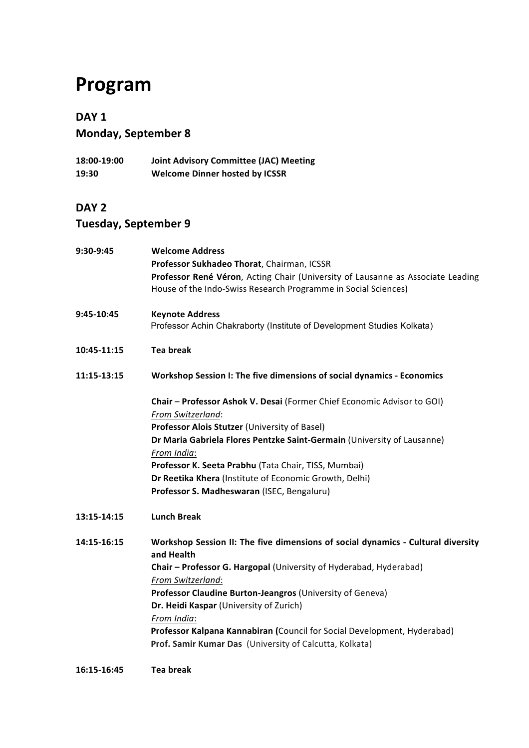# **Program**

### **DAY 1**

|  | <b>Monday, September 8</b> |  |
|--|----------------------------|--|
|  |                            |  |

**18:00-19:00 Joint Advisory Committee (JAC) Meeting 19:30 Welcome Dinner hosted by ICSSR**

#### **DAY 2**

## **Tuesday, September 9**

| 9:30-9:45   | <b>Welcome Address</b><br>Professor Sukhadeo Thorat, Chairman, ICSSR<br>Professor René Véron, Acting Chair (University of Lausanne as Associate Leading<br>House of the Indo-Swiss Research Programme in Social Sciences)                                                                                                                                                                                                                               |
|-------------|---------------------------------------------------------------------------------------------------------------------------------------------------------------------------------------------------------------------------------------------------------------------------------------------------------------------------------------------------------------------------------------------------------------------------------------------------------|
| 9:45-10:45  | <b>Keynote Address</b><br>Professor Achin Chakraborty (Institute of Development Studies Kolkata)                                                                                                                                                                                                                                                                                                                                                        |
| 10:45-11:15 | <b>Tea break</b>                                                                                                                                                                                                                                                                                                                                                                                                                                        |
| 11:15-13:15 | Workshop Session I: The five dimensions of social dynamics - Economics                                                                                                                                                                                                                                                                                                                                                                                  |
|             | Chair - Professor Ashok V. Desai (Former Chief Economic Advisor to GOI)<br>From Switzerland:<br>Professor Alois Stutzer (University of Basel)<br>Dr Maria Gabriela Flores Pentzke Saint-Germain (University of Lausanne)<br>From India:<br>Professor K. Seeta Prabhu (Tata Chair, TISS, Mumbai)<br>Dr Reetika Khera (Institute of Economic Growth, Delhi)<br>Professor S. Madheswaran (ISEC, Bengaluru)                                                 |
| 13:15-14:15 | <b>Lunch Break</b>                                                                                                                                                                                                                                                                                                                                                                                                                                      |
| 14:15-16:15 | Workshop Session II: The five dimensions of social dynamics - Cultural diversity<br>and Health<br>Chair - Professor G. Hargopal (University of Hyderabad, Hyderabad)<br>From Switzerland:<br>Professor Claudine Burton-Jeangros (University of Geneva)<br>Dr. Heidi Kaspar (University of Zurich)<br>From India:<br>Professor Kalpana Kannabiran (Council for Social Development, Hyderabad)<br>Prof. Samir Kumar Das (University of Calcutta, Kolkata) |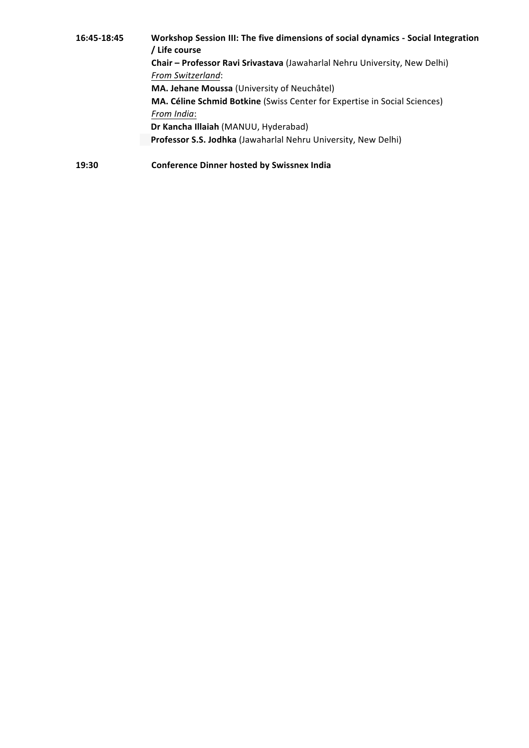| 16:45-18:45 | Workshop Session III: The five dimensions of social dynamics - Social Integration<br>/ Life course |  |
|-------------|----------------------------------------------------------------------------------------------------|--|
|             | Chair - Professor Ravi Srivastava (Jawaharlal Nehru University, New Delhi)                         |  |
|             | From Switzerland:                                                                                  |  |
|             | MA. Jehane Moussa (University of Neuchâtel)                                                        |  |
|             | <b>MA. Céline Schmid Botkine</b> (Swiss Center for Expertise in Social Sciences)                   |  |
|             | From India:                                                                                        |  |
|             | Dr Kancha Illaiah (MANUU, Hyderabad)                                                               |  |
|             | Professor S.S. Jodhka (Jawaharlal Nehru University, New Delhi)                                     |  |
| 19:30       | <b>Conference Dinner hosted by Swissnex India</b>                                                  |  |